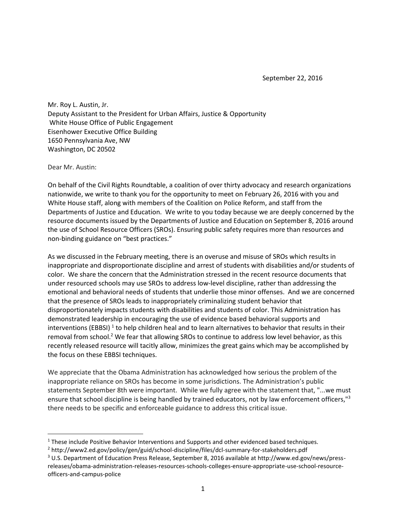September 22, 2016

Mr. Roy L. Austin, Jr. Deputy Assistant to the President for Urban Affairs, Justice & Opportunity White House Office of Public Engagement Eisenhower Executive Office Building 1650 Pennsylvania Ave, NW Washington, DC 20502

Dear Mr. Austin:

l

On behalf of the Civil Rights Roundtable, a coalition of over thirty advocacy and research organizations nationwide, we write to thank you for the opportunity to meet on February 26, 2016 with you and White House staff, along with members of the Coalition on Police Reform, and staff from the Departments of Justice and Education. We write to you today because we are deeply concerned by the resource documents issued by the Departments of Justice and Education on September 8, 2016 around the use of School Resource Officers (SROs). Ensuring public safety requires more than resources and non-binding guidance on "best practices."

As we discussed in the February meeting, there is an overuse and misuse of SROs which results in inappropriate and disproportionate discipline and arrest of students with disabilities and/or students of color. We share the concern that the Administration stressed in the recent resource documents that under resourced schools may use SROs to address low-level discipline, rather than addressing the emotional and behavioral needs of students that underlie those minor offenses. And we are concerned that the presence of SROs leads to inappropriately criminalizing student behavior that disproportionately impacts students with disabilities and students of color. This Administration has demonstrated leadership in encouraging the use of evidence based behavioral supports and interventions (EBBSI) <sup>1</sup> to help children heal and to learn alternatives to behavior that results in their removal from school.<sup>2</sup> We fear that allowing SROs to continue to address low level behavior, as this recently released resource will tacitly allow, minimizes the great gains which may be accomplished by the focus on these EBBSI techniques.

We appreciate that the Obama Administration has acknowledged how serious the problem of the inappropriate reliance on SROs has become in some jurisdictions. The Administration's public statements September 8th were important. While we fully agree with the statement that, "...we must ensure that school discipline is being handled by trained educators, not by law enforcement officers,"<sup>3</sup> there needs to be specific and enforceable guidance to address this critical issue.

<sup>&</sup>lt;sup>1</sup> These include Positive Behavior Interventions and Supports and other evidenced based techniques.

<sup>2</sup> http://www2.ed.gov/policy/gen/guid/school-discipline/files/dcl-summary-for-stakeholders.pdf

<sup>3</sup> U.S. Department of Education Press Release, September 8, 2016 available at http://www.ed.gov/news/pressreleases/obama-administration-releases-resources-schools-colleges-ensure-appropriate-use-school-resourceofficers-and-campus-police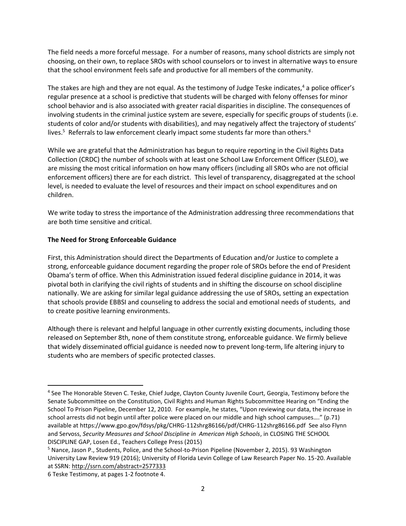The field needs a more forceful message. For a number of reasons, many school districts are simply not choosing, on their own, to replace SROs with school counselors or to invest in alternative ways to ensure that the school environment feels safe and productive for all members of the community.

The stakes are high and they are not equal. As the testimony of Judge Teske indicates, $4$  a police officer's regular presence at a school is predictive that students will be charged with felony offenses for minor school behavior and is also associated with greater racial disparities in discipline. The consequences of involving students in the criminal justice system are severe, especially for specific groups of students (i.e. students of color and/or students with disabilities), and may negatively affect the trajectory of students' lives.<sup>5</sup> Referrals to law enforcement clearly impact some students far more than others.<sup>6</sup>

While we are grateful that the Administration has begun to require reporting in the Civil Rights Data Collection (CRDC) the number of schools with at least one School Law Enforcement Officer (SLEO), we are missing the most critical information on how many officers (including all SROs who are not official enforcement officers) there are for each district. This level of transparency, disaggregated at the school level, is needed to evaluate the level of resources and their impact on school expenditures and on children.

We write today to stress the importance of the Administration addressing three recommendations that are both time sensitive and critical.

## **The Need for Strong Enforceable Guidance**

First, this Administration should direct the Departments of Education and/or Justice to complete a strong, enforceable guidance document regarding the proper role of SROs before the end of President Obama's term of office. When this Administration issued federal discipline guidance in 2014, it was pivotal both in clarifying the civil rights of students and in shifting the discourse on school discipline nationally. We are asking for similar legal guidance addressing the use of SROs, setting an expectation that schools provide EBBSI and counseling to address the social and emotional needs of students, and to create positive learning environments.

Although there is relevant and helpful language in other currently existing documents, including those released on September 8th, none of them constitute strong, enforceable guidance. We firmly believe that widely disseminated official guidance is needed now to prevent long-term, life altering injury to students who are members of specific protected classes.

 $\overline{a}$ 

<sup>4</sup> See The Honorable Steven C. Teske, Chief Judge, Clayton County Juvenile Court, Georgia, Testimony before the Senate Subcommittee on the Constitution, Civil Rights and Human Rights Subcommittee Hearing on "Ending the School To Prison Pipeline, December 12, 2010. For example, he states, "Upon reviewing our data, the increase in school arrests did not begin until after police were placed on our middle and high school campuses…." (p.71) available at https://www.gpo.gov/fdsys/pkg/CHRG-112shrg86166/pdf/CHRG-112shrg86166.pdf See also Flynn and Servoss, *Security Measures and School Discipline in American High Schools*, in CLOSING THE SCHOOL DISCIPLINE GAP, Losen Ed., Teachers College Press (2015)

<sup>5</sup> Nance, Jason P., Students, Police, and the School-to-Prison Pipeline (November 2, 2015). 93 Washington University Law Review 919 (2016); University of Florida Levin College of Law Research Paper No. 15-20. Available at SSRN[: http://ssrn.com/abstract=2577333](http://ssrn.com/abstract=2577333)

<sup>6</sup> Teske Testimony, at pages 1-2 footnote 4.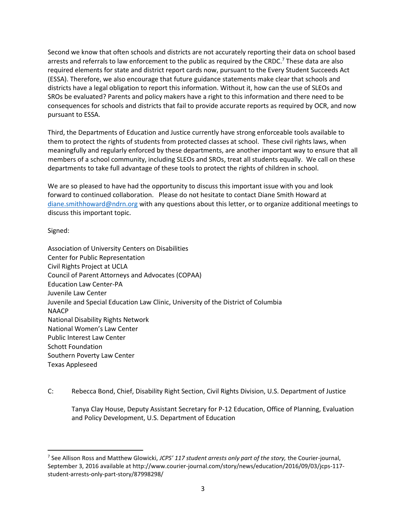Second we know that often schools and districts are not accurately reporting their data on school based arrests and referrals to law enforcement to the public as required by the CRDC.<sup>7</sup> These data are also required elements for state and district report cards now, pursuant to the Every Student Succeeds Act (ESSA). Therefore, we also encourage that future guidance statements make clear that schools and districts have a legal obligation to report this information. Without it, how can the use of SLEOs and SROs be evaluated? Parents and policy makers have a right to this information and there need to be consequences for schools and districts that fail to provide accurate reports as required by OCR, and now pursuant to ESSA.

Third, the Departments of Education and Justice currently have strong enforceable tools available to them to protect the rights of students from protected classes at school. These civil rights laws, when meaningfully and regularly enforced by these departments, are another important way to ensure that all members of a school community, including SLEOs and SROs, treat all students equally. We call on these departments to take full advantage of these tools to protect the rights of children in school.

We are so pleased to have had the opportunity to discuss this important issue with you and look forward to continued collaboration. Please do not hesitate to contact Diane Smith Howard at [diane.smithhoward@ndrn.org](mailto:diane.smithhoward@ndrn.org) with any questions about this letter, or to organize additional meetings to discuss this important topic.

Signed:

 $\overline{\phantom{a}}$ 

Association of University Centers on Disabilities Center for Public Representation Civil Rights Project at UCLA Council of Parent Attorneys and Advocates (COPAA) Education Law Center-PA Juvenile Law Center Juvenile and Special Education Law Clinic, University of the District of Columbia NAACP National Disability Rights Network National Women's Law Center Public Interest Law Center Schott Foundation Southern Poverty Law Center Texas Appleseed

C: Rebecca Bond, Chief, Disability Right Section, Civil Rights Division, U.S. Department of Justice

Tanya Clay House, Deputy Assistant Secretary for P-12 Education, Office of Planning, Evaluation and Policy Development, U.S. Department of Education

<sup>7</sup> See Allison Ross and Matthew Glowicki, *JCPS' 117 student arrests only part of the story,* the Courier-journal, September 3, 2016 available at http://www.courier-journal.com/story/news/education/2016/09/03/jcps-117 student-arrests-only-part-story/87998298/